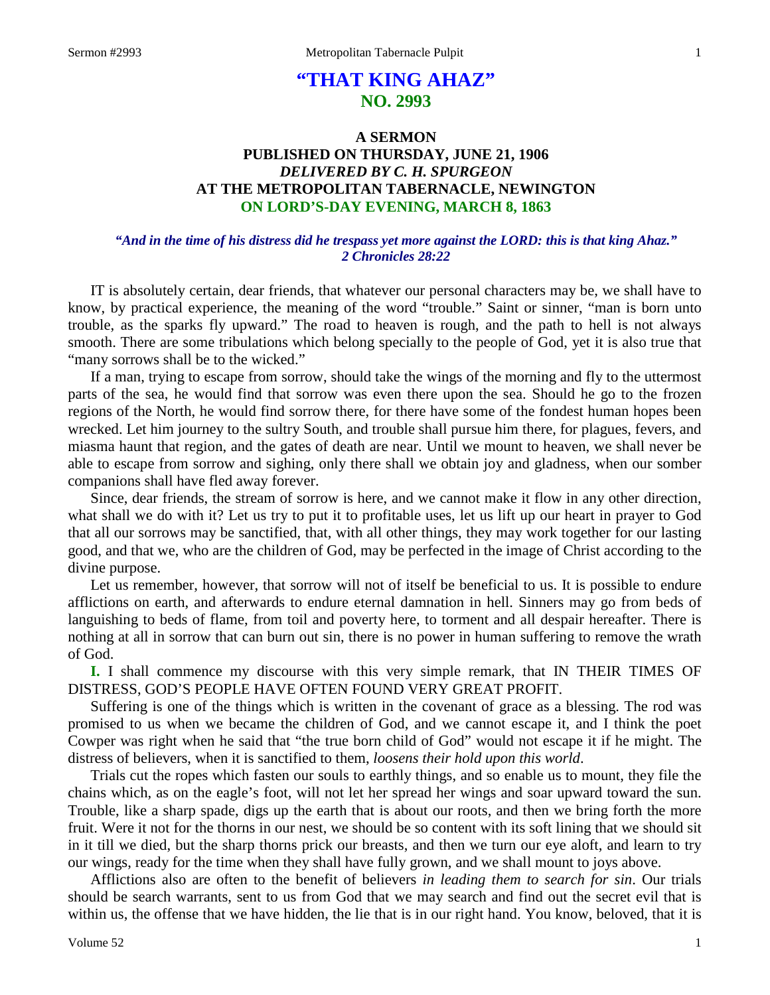# **"THAT KING AHAZ" NO. 2993**

# **A SERMON PUBLISHED ON THURSDAY, JUNE 21, 1906** *DELIVERED BY C. H. SPURGEON* **AT THE METROPOLITAN TABERNACLE, NEWINGTON ON LORD'S-DAY EVENING, MARCH 8, 1863**

### *"And in the time of his distress did he trespass yet more against the LORD: this is that king Ahaz." 2 Chronicles 28:22*

IT is absolutely certain, dear friends, that whatever our personal characters may be, we shall have to know, by practical experience, the meaning of the word "trouble." Saint or sinner, "man is born unto trouble, as the sparks fly upward." The road to heaven is rough, and the path to hell is not always smooth. There are some tribulations which belong specially to the people of God, yet it is also true that "many sorrows shall be to the wicked."

If a man, trying to escape from sorrow, should take the wings of the morning and fly to the uttermost parts of the sea, he would find that sorrow was even there upon the sea. Should he go to the frozen regions of the North, he would find sorrow there, for there have some of the fondest human hopes been wrecked. Let him journey to the sultry South, and trouble shall pursue him there, for plagues, fevers, and miasma haunt that region, and the gates of death are near. Until we mount to heaven, we shall never be able to escape from sorrow and sighing, only there shall we obtain joy and gladness, when our somber companions shall have fled away forever.

Since, dear friends, the stream of sorrow is here, and we cannot make it flow in any other direction, what shall we do with it? Let us try to put it to profitable uses, let us lift up our heart in prayer to God that all our sorrows may be sanctified, that, with all other things, they may work together for our lasting good, and that we, who are the children of God, may be perfected in the image of Christ according to the divine purpose.

Let us remember, however, that sorrow will not of itself be beneficial to us. It is possible to endure afflictions on earth, and afterwards to endure eternal damnation in hell. Sinners may go from beds of languishing to beds of flame, from toil and poverty here, to torment and all despair hereafter. There is nothing at all in sorrow that can burn out sin, there is no power in human suffering to remove the wrath of God.

**I.** I shall commence my discourse with this very simple remark, that IN THEIR TIMES OF DISTRESS, GOD'S PEOPLE HAVE OFTEN FOUND VERY GREAT PROFIT.

Suffering is one of the things which is written in the covenant of grace as a blessing. The rod was promised to us when we became the children of God, and we cannot escape it, and I think the poet Cowper was right when he said that "the true born child of God" would not escape it if he might. The distress of believers, when it is sanctified to them, *loosens their hold upon this world*.

Trials cut the ropes which fasten our souls to earthly things, and so enable us to mount, they file the chains which, as on the eagle's foot, will not let her spread her wings and soar upward toward the sun. Trouble, like a sharp spade, digs up the earth that is about our roots, and then we bring forth the more fruit. Were it not for the thorns in our nest, we should be so content with its soft lining that we should sit in it till we died, but the sharp thorns prick our breasts, and then we turn our eye aloft, and learn to try our wings, ready for the time when they shall have fully grown, and we shall mount to joys above.

Afflictions also are often to the benefit of believers *in leading them to search for sin*. Our trials should be search warrants, sent to us from God that we may search and find out the secret evil that is within us, the offense that we have hidden, the lie that is in our right hand. You know, beloved, that it is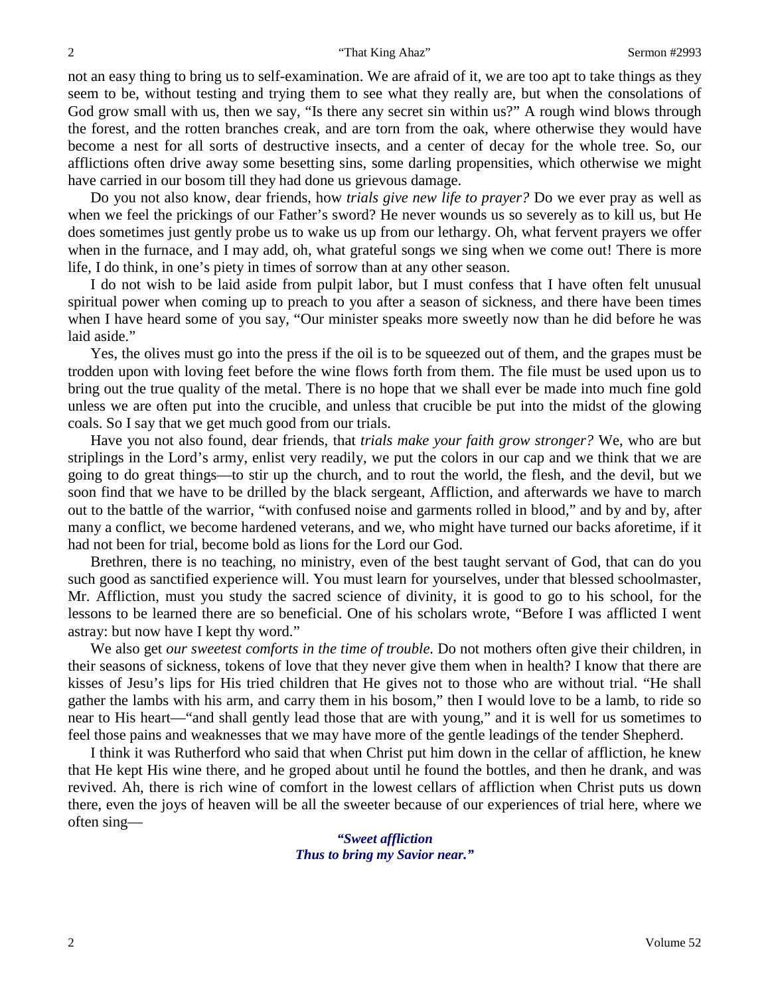not an easy thing to bring us to self-examination. We are afraid of it, we are too apt to take things as they seem to be, without testing and trying them to see what they really are, but when the consolations of God grow small with us, then we say, "Is there any secret sin within us?" A rough wind blows through the forest, and the rotten branches creak, and are torn from the oak, where otherwise they would have become a nest for all sorts of destructive insects, and a center of decay for the whole tree. So, our afflictions often drive away some besetting sins, some darling propensities, which otherwise we might have carried in our bosom till they had done us grievous damage.

Do you not also know, dear friends, how *trials give new life to prayer?* Do we ever pray as well as when we feel the prickings of our Father's sword? He never wounds us so severely as to kill us, but He does sometimes just gently probe us to wake us up from our lethargy. Oh, what fervent prayers we offer when in the furnace, and I may add, oh, what grateful songs we sing when we come out! There is more life, I do think, in one's piety in times of sorrow than at any other season.

I do not wish to be laid aside from pulpit labor, but I must confess that I have often felt unusual spiritual power when coming up to preach to you after a season of sickness, and there have been times when I have heard some of you say, "Our minister speaks more sweetly now than he did before he was laid aside."

Yes, the olives must go into the press if the oil is to be squeezed out of them, and the grapes must be trodden upon with loving feet before the wine flows forth from them. The file must be used upon us to bring out the true quality of the metal. There is no hope that we shall ever be made into much fine gold unless we are often put into the crucible, and unless that crucible be put into the midst of the glowing coals. So I say that we get much good from our trials.

Have you not also found, dear friends, that *trials make your faith grow stronger?* We, who are but striplings in the Lord's army, enlist very readily, we put the colors in our cap and we think that we are going to do great things—to stir up the church, and to rout the world, the flesh, and the devil, but we soon find that we have to be drilled by the black sergeant, Affliction, and afterwards we have to march out to the battle of the warrior, "with confused noise and garments rolled in blood," and by and by, after many a conflict, we become hardened veterans, and we, who might have turned our backs aforetime, if it had not been for trial, become bold as lions for the Lord our God.

Brethren, there is no teaching, no ministry, even of the best taught servant of God, that can do you such good as sanctified experience will. You must learn for yourselves, under that blessed schoolmaster, Mr. Affliction, must you study the sacred science of divinity, it is good to go to his school, for the lessons to be learned there are so beneficial. One of his scholars wrote, "Before I was afflicted I went astray: but now have I kept thy word."

We also get *our sweetest comforts in the time of trouble*. Do not mothers often give their children, in their seasons of sickness, tokens of love that they never give them when in health? I know that there are kisses of Jesu's lips for His tried children that He gives not to those who are without trial. "He shall gather the lambs with his arm, and carry them in his bosom," then I would love to be a lamb, to ride so near to His heart—"and shall gently lead those that are with young," and it is well for us sometimes to feel those pains and weaknesses that we may have more of the gentle leadings of the tender Shepherd.

I think it was Rutherford who said that when Christ put him down in the cellar of affliction, he knew that He kept His wine there, and he groped about until he found the bottles, and then he drank, and was revived. Ah, there is rich wine of comfort in the lowest cellars of affliction when Christ puts us down there, even the joys of heaven will be all the sweeter because of our experiences of trial here, where we often sing—

> *"Sweet affliction Thus to bring my Savior near."*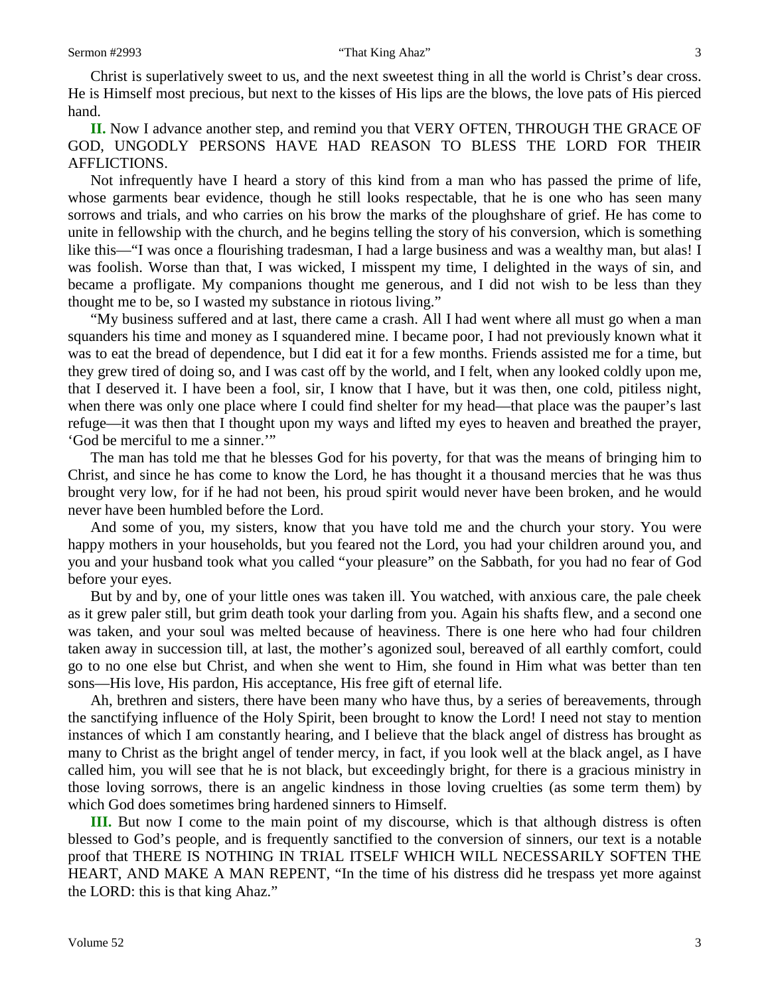Christ is superlatively sweet to us, and the next sweetest thing in all the world is Christ's dear cross. He is Himself most precious, but next to the kisses of His lips are the blows, the love pats of His pierced hand.

**II.** Now I advance another step, and remind you that VERY OFTEN, THROUGH THE GRACE OF GOD, UNGODLY PERSONS HAVE HAD REASON TO BLESS THE LORD FOR THEIR AFFLICTIONS.

Not infrequently have I heard a story of this kind from a man who has passed the prime of life, whose garments bear evidence, though he still looks respectable, that he is one who has seen many sorrows and trials, and who carries on his brow the marks of the ploughshare of grief. He has come to unite in fellowship with the church, and he begins telling the story of his conversion, which is something like this—"I was once a flourishing tradesman, I had a large business and was a wealthy man, but alas! I was foolish. Worse than that, I was wicked, I misspent my time, I delighted in the ways of sin, and became a profligate. My companions thought me generous, and I did not wish to be less than they thought me to be, so I wasted my substance in riotous living."

"My business suffered and at last, there came a crash. All I had went where all must go when a man squanders his time and money as I squandered mine. I became poor, I had not previously known what it was to eat the bread of dependence, but I did eat it for a few months. Friends assisted me for a time, but they grew tired of doing so, and I was cast off by the world, and I felt, when any looked coldly upon me, that I deserved it. I have been a fool, sir, I know that I have, but it was then, one cold, pitiless night, when there was only one place where I could find shelter for my head—that place was the pauper's last refuge—it was then that I thought upon my ways and lifted my eyes to heaven and breathed the prayer, 'God be merciful to me a sinner.'"

The man has told me that he blesses God for his poverty, for that was the means of bringing him to Christ, and since he has come to know the Lord, he has thought it a thousand mercies that he was thus brought very low, for if he had not been, his proud spirit would never have been broken, and he would never have been humbled before the Lord.

And some of you, my sisters, know that you have told me and the church your story. You were happy mothers in your households, but you feared not the Lord, you had your children around you, and you and your husband took what you called "your pleasure" on the Sabbath, for you had no fear of God before your eyes.

But by and by, one of your little ones was taken ill. You watched, with anxious care, the pale cheek as it grew paler still, but grim death took your darling from you. Again his shafts flew, and a second one was taken, and your soul was melted because of heaviness. There is one here who had four children taken away in succession till, at last, the mother's agonized soul, bereaved of all earthly comfort, could go to no one else but Christ, and when she went to Him, she found in Him what was better than ten sons—His love, His pardon, His acceptance, His free gift of eternal life.

Ah, brethren and sisters, there have been many who have thus, by a series of bereavements, through the sanctifying influence of the Holy Spirit, been brought to know the Lord! I need not stay to mention instances of which I am constantly hearing, and I believe that the black angel of distress has brought as many to Christ as the bright angel of tender mercy, in fact, if you look well at the black angel, as I have called him, you will see that he is not black, but exceedingly bright, for there is a gracious ministry in those loving sorrows, there is an angelic kindness in those loving cruelties (as some term them) by which God does sometimes bring hardened sinners to Himself.

**III.** But now I come to the main point of my discourse, which is that although distress is often blessed to God's people, and is frequently sanctified to the conversion of sinners, our text is a notable proof that THERE IS NOTHING IN TRIAL ITSELF WHICH WILL NECESSARILY SOFTEN THE HEART, AND MAKE A MAN REPENT, "In the time of his distress did he trespass yet more against the LORD: this is that king Ahaz."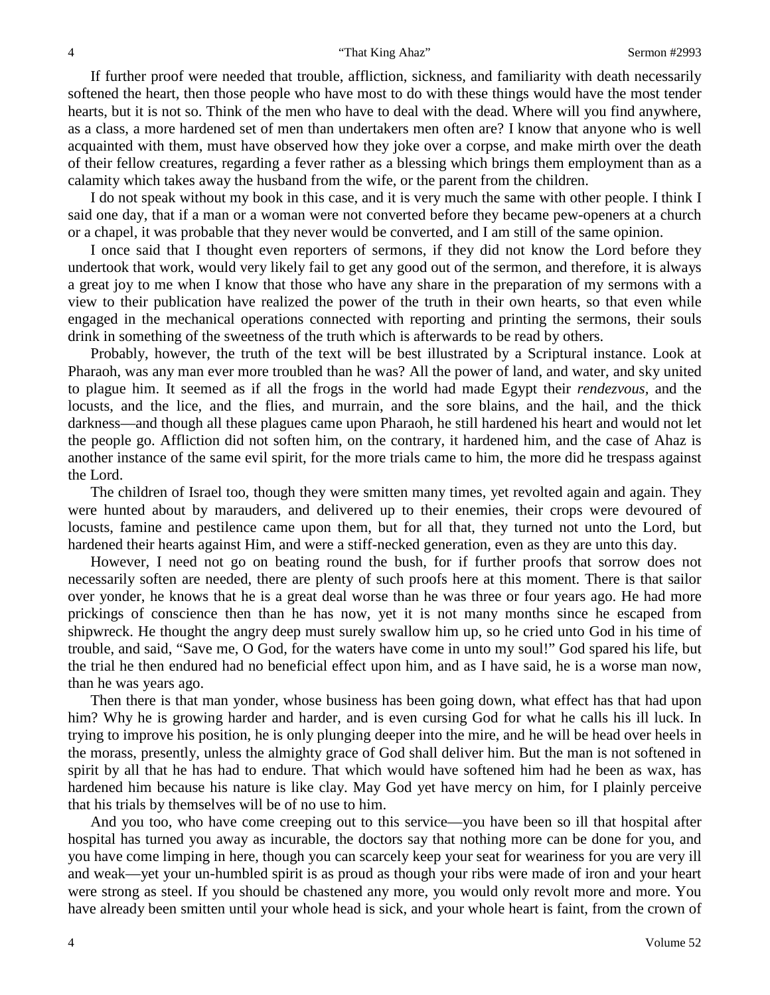If further proof were needed that trouble, affliction, sickness, and familiarity with death necessarily softened the heart, then those people who have most to do with these things would have the most tender hearts, but it is not so. Think of the men who have to deal with the dead. Where will you find anywhere, as a class, a more hardened set of men than undertakers men often are? I know that anyone who is well acquainted with them, must have observed how they joke over a corpse, and make mirth over the death of their fellow creatures, regarding a fever rather as a blessing which brings them employment than as a calamity which takes away the husband from the wife, or the parent from the children.

I do not speak without my book in this case, and it is very much the same with other people. I think I said one day, that if a man or a woman were not converted before they became pew-openers at a church or a chapel, it was probable that they never would be converted, and I am still of the same opinion.

I once said that I thought even reporters of sermons, if they did not know the Lord before they undertook that work, would very likely fail to get any good out of the sermon, and therefore, it is always a great joy to me when I know that those who have any share in the preparation of my sermons with a view to their publication have realized the power of the truth in their own hearts, so that even while engaged in the mechanical operations connected with reporting and printing the sermons, their souls drink in something of the sweetness of the truth which is afterwards to be read by others.

Probably, however, the truth of the text will be best illustrated by a Scriptural instance. Look at Pharaoh, was any man ever more troubled than he was? All the power of land, and water, and sky united to plague him. It seemed as if all the frogs in the world had made Egypt their *rendezvous,* and the locusts, and the lice, and the flies, and murrain, and the sore blains, and the hail, and the thick darkness—and though all these plagues came upon Pharaoh, he still hardened his heart and would not let the people go. Affliction did not soften him, on the contrary, it hardened him, and the case of Ahaz is another instance of the same evil spirit, for the more trials came to him, the more did he trespass against the Lord.

The children of Israel too, though they were smitten many times, yet revolted again and again. They were hunted about by marauders, and delivered up to their enemies, their crops were devoured of locusts, famine and pestilence came upon them, but for all that, they turned not unto the Lord, but hardened their hearts against Him, and were a stiff-necked generation, even as they are unto this day.

However, I need not go on beating round the bush, for if further proofs that sorrow does not necessarily soften are needed, there are plenty of such proofs here at this moment. There is that sailor over yonder, he knows that he is a great deal worse than he was three or four years ago. He had more prickings of conscience then than he has now, yet it is not many months since he escaped from shipwreck. He thought the angry deep must surely swallow him up, so he cried unto God in his time of trouble, and said, "Save me, O God, for the waters have come in unto my soul!" God spared his life, but the trial he then endured had no beneficial effect upon him, and as I have said, he is a worse man now, than he was years ago.

Then there is that man yonder, whose business has been going down, what effect has that had upon him? Why he is growing harder and harder, and is even cursing God for what he calls his ill luck. In trying to improve his position, he is only plunging deeper into the mire, and he will be head over heels in the morass, presently, unless the almighty grace of God shall deliver him. But the man is not softened in spirit by all that he has had to endure. That which would have softened him had he been as wax, has hardened him because his nature is like clay. May God yet have mercy on him, for I plainly perceive that his trials by themselves will be of no use to him.

And you too, who have come creeping out to this service—you have been so ill that hospital after hospital has turned you away as incurable, the doctors say that nothing more can be done for you, and you have come limping in here, though you can scarcely keep your seat for weariness for you are very ill and weak—yet your un-humbled spirit is as proud as though your ribs were made of iron and your heart were strong as steel. If you should be chastened any more, you would only revolt more and more. You have already been smitten until your whole head is sick, and your whole heart is faint, from the crown of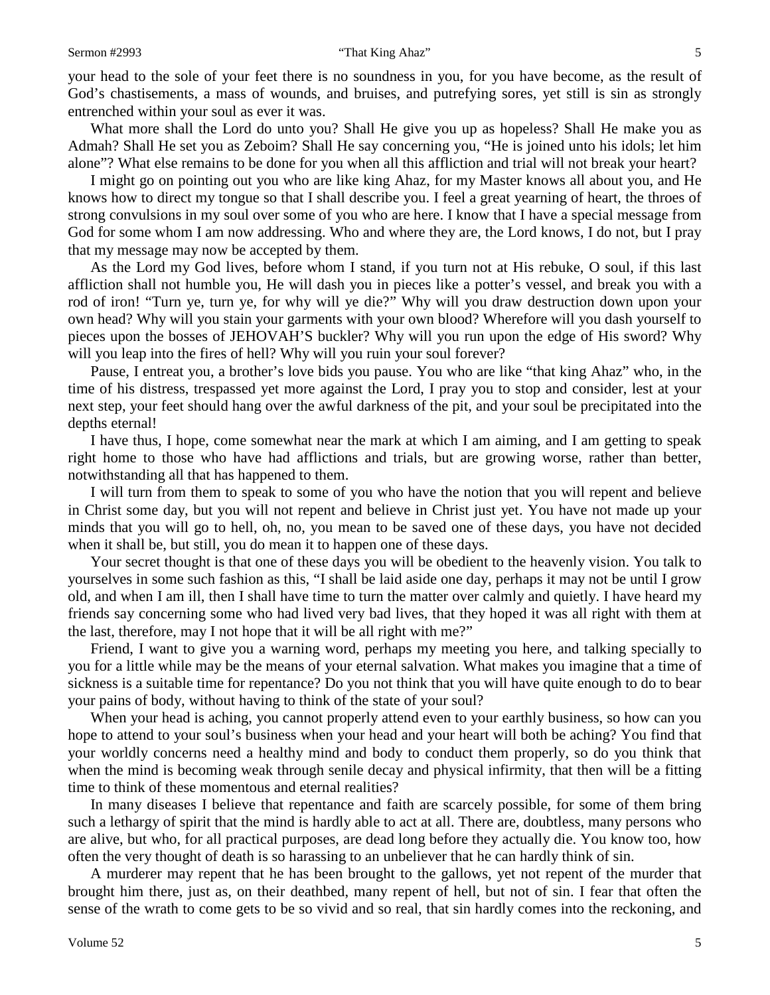your head to the sole of your feet there is no soundness in you, for you have become, as the result of God's chastisements, a mass of wounds, and bruises, and putrefying sores, yet still is sin as strongly entrenched within your soul as ever it was.

What more shall the Lord do unto you? Shall He give you up as hopeless? Shall He make you as Admah? Shall He set you as Zeboim? Shall He say concerning you, "He is joined unto his idols; let him alone"? What else remains to be done for you when all this affliction and trial will not break your heart?

I might go on pointing out you who are like king Ahaz, for my Master knows all about you, and He knows how to direct my tongue so that I shall describe you. I feel a great yearning of heart, the throes of strong convulsions in my soul over some of you who are here. I know that I have a special message from God for some whom I am now addressing. Who and where they are, the Lord knows, I do not, but I pray that my message may now be accepted by them.

As the Lord my God lives, before whom I stand, if you turn not at His rebuke, O soul, if this last affliction shall not humble you, He will dash you in pieces like a potter's vessel, and break you with a rod of iron! "Turn ye, turn ye, for why will ye die?" Why will you draw destruction down upon your own head? Why will you stain your garments with your own blood? Wherefore will you dash yourself to pieces upon the bosses of JEHOVAH'S buckler? Why will you run upon the edge of His sword? Why will you leap into the fires of hell? Why will you ruin your soul forever?

Pause, I entreat you, a brother's love bids you pause. You who are like "that king Ahaz" who, in the time of his distress, trespassed yet more against the Lord, I pray you to stop and consider, lest at your next step, your feet should hang over the awful darkness of the pit, and your soul be precipitated into the depths eternal!

I have thus, I hope, come somewhat near the mark at which I am aiming, and I am getting to speak right home to those who have had afflictions and trials, but are growing worse, rather than better, notwithstanding all that has happened to them.

I will turn from them to speak to some of you who have the notion that you will repent and believe in Christ some day, but you will not repent and believe in Christ just yet. You have not made up your minds that you will go to hell, oh, no, you mean to be saved one of these days, you have not decided when it shall be, but still, you do mean it to happen one of these days.

Your secret thought is that one of these days you will be obedient to the heavenly vision. You talk to yourselves in some such fashion as this, "I shall be laid aside one day, perhaps it may not be until I grow old, and when I am ill, then I shall have time to turn the matter over calmly and quietly. I have heard my friends say concerning some who had lived very bad lives, that they hoped it was all right with them at the last, therefore, may I not hope that it will be all right with me?"

Friend, I want to give you a warning word, perhaps my meeting you here, and talking specially to you for a little while may be the means of your eternal salvation. What makes you imagine that a time of sickness is a suitable time for repentance? Do you not think that you will have quite enough to do to bear your pains of body, without having to think of the state of your soul?

When your head is aching, you cannot properly attend even to your earthly business, so how can you hope to attend to your soul's business when your head and your heart will both be aching? You find that your worldly concerns need a healthy mind and body to conduct them properly, so do you think that when the mind is becoming weak through senile decay and physical infirmity, that then will be a fitting time to think of these momentous and eternal realities?

In many diseases I believe that repentance and faith are scarcely possible, for some of them bring such a lethargy of spirit that the mind is hardly able to act at all. There are, doubtless, many persons who are alive, but who, for all practical purposes, are dead long before they actually die. You know too, how often the very thought of death is so harassing to an unbeliever that he can hardly think of sin.

A murderer may repent that he has been brought to the gallows, yet not repent of the murder that brought him there, just as, on their deathbed, many repent of hell, but not of sin. I fear that often the sense of the wrath to come gets to be so vivid and so real, that sin hardly comes into the reckoning, and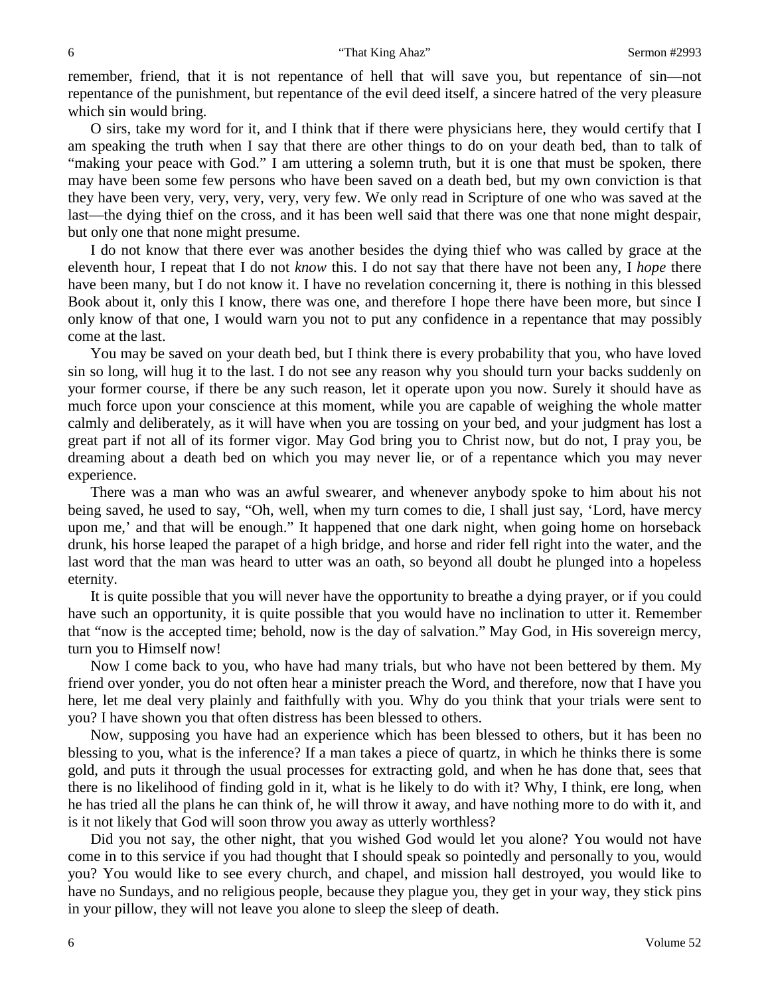remember, friend, that it is not repentance of hell that will save you, but repentance of sin—not repentance of the punishment, but repentance of the evil deed itself, a sincere hatred of the very pleasure which sin would bring.

O sirs, take my word for it, and I think that if there were physicians here, they would certify that I am speaking the truth when I say that there are other things to do on your death bed, than to talk of "making your peace with God." I am uttering a solemn truth, but it is one that must be spoken, there may have been some few persons who have been saved on a death bed, but my own conviction is that they have been very, very, very, very, very few. We only read in Scripture of one who was saved at the last—the dying thief on the cross, and it has been well said that there was one that none might despair, but only one that none might presume.

I do not know that there ever was another besides the dying thief who was called by grace at the eleventh hour, I repeat that I do not *know* this. I do not say that there have not been any, I *hope* there have been many, but I do not know it. I have no revelation concerning it, there is nothing in this blessed Book about it, only this I know, there was one, and therefore I hope there have been more, but since I only know of that one, I would warn you not to put any confidence in a repentance that may possibly come at the last.

You may be saved on your death bed, but I think there is every probability that you, who have loved sin so long, will hug it to the last. I do not see any reason why you should turn your backs suddenly on your former course, if there be any such reason, let it operate upon you now. Surely it should have as much force upon your conscience at this moment, while you are capable of weighing the whole matter calmly and deliberately, as it will have when you are tossing on your bed, and your judgment has lost a great part if not all of its former vigor. May God bring you to Christ now, but do not, I pray you, be dreaming about a death bed on which you may never lie, or of a repentance which you may never experience.

There was a man who was an awful swearer, and whenever anybody spoke to him about his not being saved, he used to say, "Oh, well, when my turn comes to die, I shall just say, 'Lord, have mercy upon me,' and that will be enough." It happened that one dark night, when going home on horseback drunk, his horse leaped the parapet of a high bridge, and horse and rider fell right into the water, and the last word that the man was heard to utter was an oath, so beyond all doubt he plunged into a hopeless eternity.

It is quite possible that you will never have the opportunity to breathe a dying prayer, or if you could have such an opportunity, it is quite possible that you would have no inclination to utter it. Remember that "now is the accepted time; behold, now is the day of salvation." May God, in His sovereign mercy, turn you to Himself now!

Now I come back to you, who have had many trials, but who have not been bettered by them. My friend over yonder, you do not often hear a minister preach the Word, and therefore, now that I have you here, let me deal very plainly and faithfully with you. Why do you think that your trials were sent to you? I have shown you that often distress has been blessed to others.

Now, supposing you have had an experience which has been blessed to others, but it has been no blessing to you, what is the inference? If a man takes a piece of quartz, in which he thinks there is some gold, and puts it through the usual processes for extracting gold, and when he has done that, sees that there is no likelihood of finding gold in it, what is he likely to do with it? Why, I think, ere long, when he has tried all the plans he can think of, he will throw it away, and have nothing more to do with it, and is it not likely that God will soon throw you away as utterly worthless?

Did you not say, the other night, that you wished God would let you alone? You would not have come in to this service if you had thought that I should speak so pointedly and personally to you, would you? You would like to see every church, and chapel, and mission hall destroyed, you would like to have no Sundays, and no religious people, because they plague you, they get in your way, they stick pins in your pillow, they will not leave you alone to sleep the sleep of death.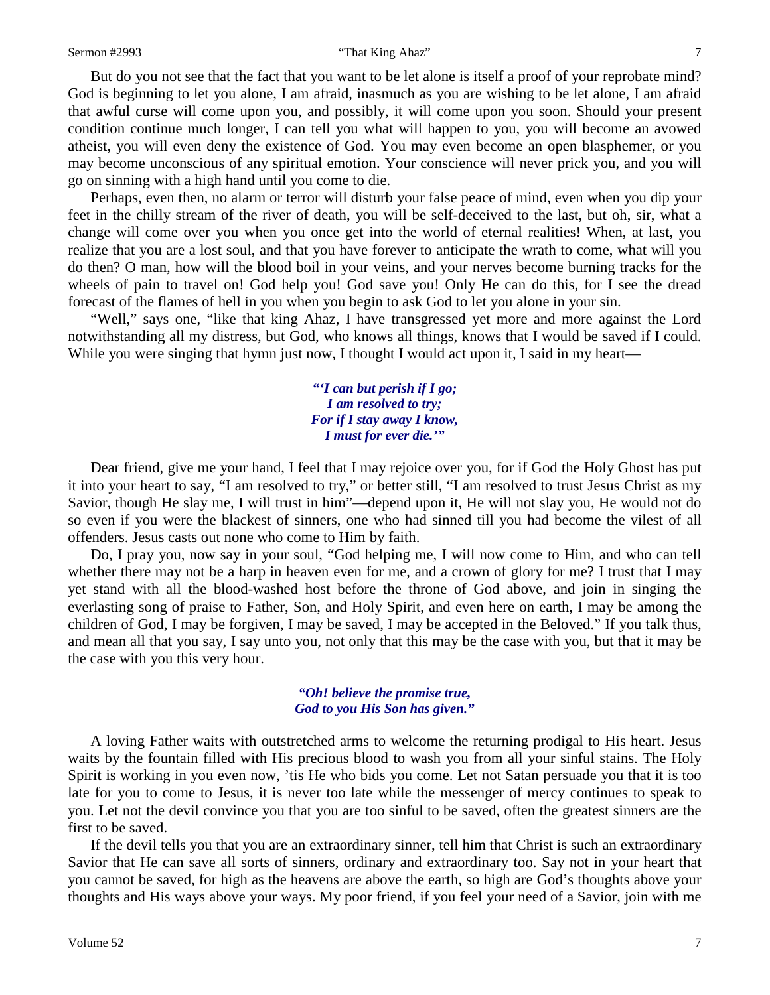#### Sermon #2993 **That King Ahaz**" 7

But do you not see that the fact that you want to be let alone is itself a proof of your reprobate mind? God is beginning to let you alone, I am afraid, inasmuch as you are wishing to be let alone, I am afraid that awful curse will come upon you, and possibly, it will come upon you soon. Should your present condition continue much longer, I can tell you what will happen to you, you will become an avowed atheist, you will even deny the existence of God. You may even become an open blasphemer, or you may become unconscious of any spiritual emotion. Your conscience will never prick you, and you will go on sinning with a high hand until you come to die.

Perhaps, even then, no alarm or terror will disturb your false peace of mind, even when you dip your feet in the chilly stream of the river of death, you will be self-deceived to the last, but oh, sir, what a change will come over you when you once get into the world of eternal realities! When, at last, you realize that you are a lost soul, and that you have forever to anticipate the wrath to come, what will you do then? O man, how will the blood boil in your veins, and your nerves become burning tracks for the wheels of pain to travel on! God help you! God save you! Only He can do this, for I see the dread forecast of the flames of hell in you when you begin to ask God to let you alone in your sin.

"Well," says one, "like that king Ahaz, I have transgressed yet more and more against the Lord notwithstanding all my distress, but God, who knows all things, knows that I would be saved if I could. While you were singing that hymn just now, I thought I would act upon it, I said in my heart—

> *"'I can but perish if I go; I am resolved to try; For if I stay away I know, I must for ever die.'"*

Dear friend, give me your hand, I feel that I may rejoice over you, for if God the Holy Ghost has put it into your heart to say, "I am resolved to try," or better still, "I am resolved to trust Jesus Christ as my Savior, though He slay me, I will trust in him"—depend upon it, He will not slay you, He would not do so even if you were the blackest of sinners, one who had sinned till you had become the vilest of all offenders. Jesus casts out none who come to Him by faith.

Do, I pray you, now say in your soul, "God helping me, I will now come to Him, and who can tell whether there may not be a harp in heaven even for me, and a crown of glory for me? I trust that I may yet stand with all the blood-washed host before the throne of God above, and join in singing the everlasting song of praise to Father, Son, and Holy Spirit, and even here on earth, I may be among the children of God, I may be forgiven, I may be saved, I may be accepted in the Beloved." If you talk thus, and mean all that you say, I say unto you, not only that this may be the case with you, but that it may be the case with you this very hour.

> *"Oh! believe the promise true, God to you His Son has given."*

A loving Father waits with outstretched arms to welcome the returning prodigal to His heart. Jesus waits by the fountain filled with His precious blood to wash you from all your sinful stains. The Holy Spirit is working in you even now, 'tis He who bids you come. Let not Satan persuade you that it is too late for you to come to Jesus, it is never too late while the messenger of mercy continues to speak to you. Let not the devil convince you that you are too sinful to be saved, often the greatest sinners are the first to be saved.

If the devil tells you that you are an extraordinary sinner, tell him that Christ is such an extraordinary Savior that He can save all sorts of sinners, ordinary and extraordinary too. Say not in your heart that you cannot be saved, for high as the heavens are above the earth, so high are God's thoughts above your thoughts and His ways above your ways. My poor friend, if you feel your need of a Savior, join with me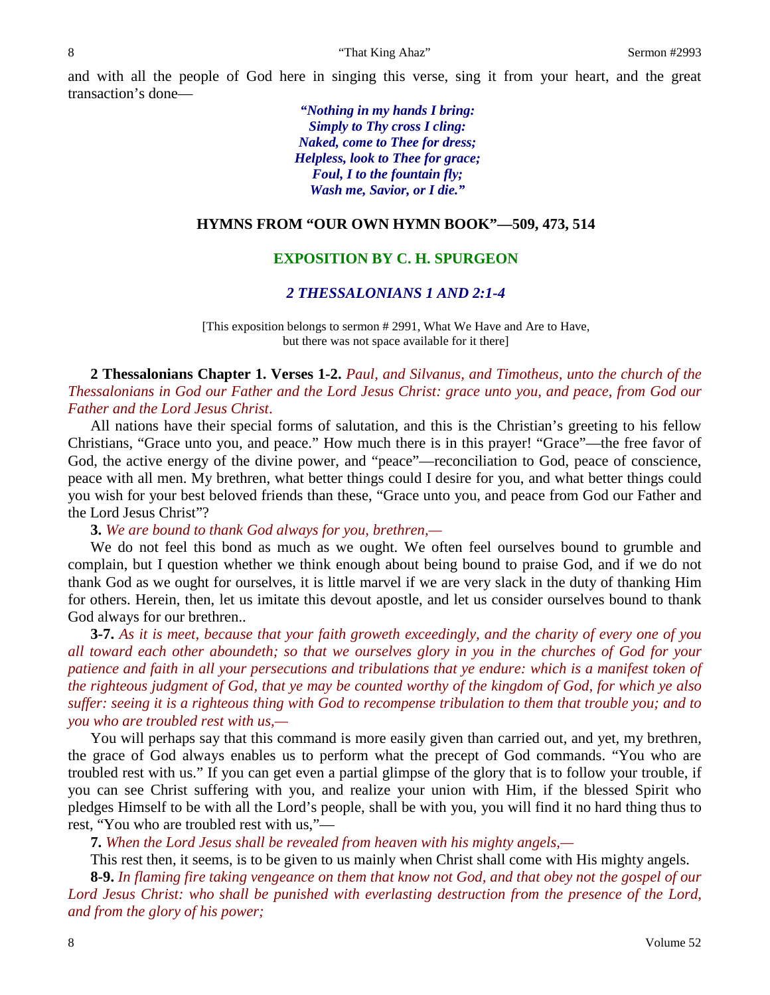and with all the people of God here in singing this verse, sing it from your heart, and the great transaction's done—

> *"Nothing in my hands I bring: Simply to Thy cross I cling: Naked, come to Thee for dress; Helpless, look to Thee for grace; Foul, I to the fountain fly; Wash me, Savior, or I die."*

#### **HYMNS FROM "OUR OWN HYMN BOOK"—509, 473, 514**

# **EXPOSITION BY C. H. SPURGEON**

### *2 THESSALONIANS 1 AND 2:1-4*

[This exposition belongs to sermon # 2991, What We Have and Are to Have, but there was not space available for it there]

**2 Thessalonians Chapter 1. Verses 1-2.** *Paul, and Silvanus, and Timotheus, unto the church of the Thessalonians in God our Father and the Lord Jesus Christ: grace unto you, and peace, from God our Father and the Lord Jesus Christ*.

All nations have their special forms of salutation, and this is the Christian's greeting to his fellow Christians, "Grace unto you, and peace." How much there is in this prayer! "Grace"—the free favor of God, the active energy of the divine power, and "peace"—reconciliation to God, peace of conscience, peace with all men. My brethren, what better things could I desire for you, and what better things could you wish for your best beloved friends than these, "Grace unto you, and peace from God our Father and the Lord Jesus Christ"?

**3.** *We are bound to thank God always for you, brethren,—*

We do not feel this bond as much as we ought. We often feel ourselves bound to grumble and complain, but I question whether we think enough about being bound to praise God, and if we do not thank God as we ought for ourselves, it is little marvel if we are very slack in the duty of thanking Him for others. Herein, then, let us imitate this devout apostle, and let us consider ourselves bound to thank God always for our brethren..

**3-7.** *As it is meet, because that your faith groweth exceedingly, and the charity of every one of you all toward each other aboundeth; so that we ourselves glory in you in the churches of God for your patience and faith in all your persecutions and tribulations that ye endure: which is a manifest token of the righteous judgment of God, that ye may be counted worthy of the kingdom of God, for which ye also suffer: seeing it is a righteous thing with God to recompense tribulation to them that trouble you; and to you who are troubled rest with us,—*

You will perhaps say that this command is more easily given than carried out, and yet, my brethren, the grace of God always enables us to perform what the precept of God commands. "You who are troubled rest with us." If you can get even a partial glimpse of the glory that is to follow your trouble, if you can see Christ suffering with you, and realize your union with Him, if the blessed Spirit who pledges Himself to be with all the Lord's people, shall be with you, you will find it no hard thing thus to rest, "You who are troubled rest with us,"—

**7.** *When the Lord Jesus shall be revealed from heaven with his mighty angels,—*

This rest then, it seems, is to be given to us mainly when Christ shall come with His mighty angels.

**8-9.** *In flaming fire taking vengeance on them that know not God, and that obey not the gospel of our Lord Jesus Christ: who shall be punished with everlasting destruction from the presence of the Lord, and from the glory of his power;*